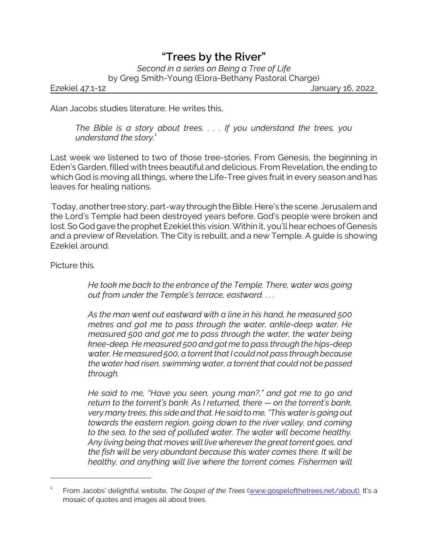## *"Trees by the River"*

*Second in a series on Being a Tree of Life* by Greg Smith-Young (Elora-Bethany Pastoral Charge)

Ezekiel 47.1-12 January 16, 2022

Alan Jacobs studies literature. He writes this,

*The Bible is a story about trees. . . . If you understand the trees, you understand the story.*<sup>1</sup>

Last week we listened to two of those tree-stories. From Genesis, the beginning in Eden's Garden, filled with trees beautiful and delicious. From Revelation, the ending to which God is moving all things, where the Life-Tree gives fruit in every season and has leaves for healing nations.

Today, another tree story, part-way through the Bible. Here's the scene. Jerusalem and the Lord's Temple had been destroyed years before. God's people were broken and lost. So God gave the prophet Ezekiel this vision. Within it, you'll hear echoes of Genesis and a preview of Revelation. The City is rebuilt, and a new Temple. A guide is showing Ezekiel around.

Picture this.

*He took me back to the entrance of the Temple. There, water was going out from under the Temple's terrace, eastward. . . .*

*As the man went out eastward with a line in his hand, he measured 500 metres and got me to pass through the water, ankle-deep water. He measured 500 and got me to pass through the water, the water being knee-deep. He measured 500 and got me to pass through the hips-deep water. He measured 500, a torrent that I could not pass through because the water had risen, swimming water, a torrent that could not be passed through.*

*He said to me, "Have you seen, young man?," and got me to go and return to the torrent's bank. As I returned, there — on the torrent's bank, very many trees, this side and that. He said to me, "This water is going out towards the eastern region, going down to the river valley, and coming to the sea, to the sea of polluted water. The water will become healthy. Any living being that moves will live wherever the great torrent goes, and the fish will be very abundant because this water comes there. It will be healthy, and anything will live where the torrent comes. Fishermen will*

<sup>1</sup> From Jacobs' delightful website, *The Gospel of the Trees* [\(www.gospelofthetrees.net/about\).](http://www.gospelofthetrees.net/about).) It's a mosaic of quotes and images all about trees.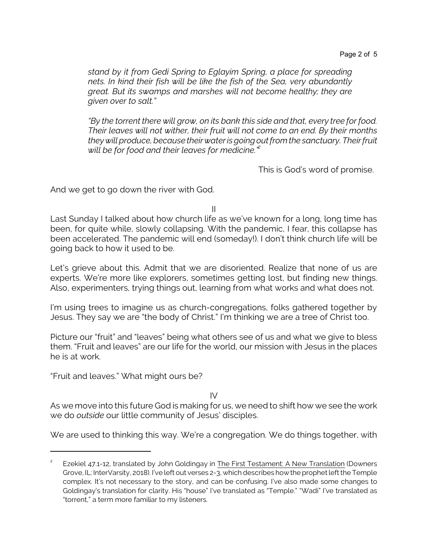*stand by it from Gedi Spring to Eglayim Spring, a place for spreading nets. In kind their fish will be like the fish of the Sea, very abundantly great. But its swamps and marshes will not become healthy; they are given over to salt."*

*"By the torrent there will grow, on its bank this side and that, every tree for food. Their leaves will not wither, their fruit will not come to an end. By their months they will produce, because their water is going out from the sanctuary. Their fruit will be for food and their leaves for medicine."<sup>2</sup>*

This is God's word of promise.

And we get to go down the river with God.

II

Last Sunday I talked about how church life as we've known for a long, long time has been, for quite while, slowly collapsing. With the pandemic, I fear, this collapse has been accelerated. The pandemic will end (someday!). I don't think church life will be going back to how it used to be.

Let's grieve about this. Admit that we are disoriented. Realize that none of us are experts. We're more like explorers, sometimes getting lost, but finding new things. Also, experimenters, trying things out, learning from what works and what does not.

I'm using trees to imagine us as church-congregations, folks gathered together by Jesus. They say we are "the body of Christ." I'm thinking we are a tree of Christ too.

Picture our "fruit" and "leaves" being what others see of us and what we give to bless them. "Fruit and leaves" are our life for the world, our mission with Jesus in the places he is at work.

"Fruit and leaves." What might ours be?

IV

As we move into this future God is making for us, we need to shift how we see the work we do *outside* our little community of Jesus' disciples.

We are used to thinking this way. We're a congregation. We do things together, with

<sup>2</sup> Ezekiel 47.1-12, translated by John Goldingay in The First Testament: A New Translation (Downers Grove, IL: InterVarsity, 2018). I've left out verses 2-3, which describes how the prophet left the Temple complex. It's not necessary to the story, and can be confusing. I've also made some changes to Goldingay's translation for clarity. His "house" I've translated as "Temple." "Wadi" I've translated as "torrent," a term more familiar to my listeners.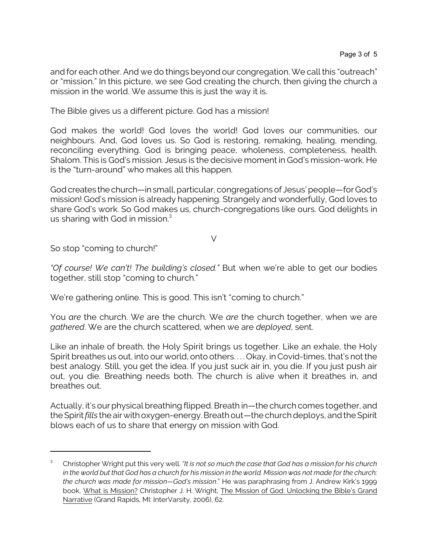and for each other. And we do things beyond our congregation. We call this "outreach" or "mission." In this picture, we see God creating the church, then giving the church a mission in the world. We assume this is just the way it is.

The Bible gives us a different picture. God has a mission!

God makes the world! God loves the world! God loves our communities, our neighbours. And, God loves us. So God is restoring, remaking, healing, mending, reconciling everything. God is bringing peace, wholeness, completeness, health. Shalom. This is God's mission. Jesus is the decisive moment in God's mission-work. He is the "turn-around" who makes all this happen.

God creates the church—in small, particular, congregations of Jesus' people—for God's mission! God's mission is already happening. Strangely and wonderfully, God loves to share God's work. So God makes us, church-congregations like ours. God delights in us sharing with God in mission.<sup>3</sup>

 $\vee$ 

So stop "coming to church!"

*"Of course! We can't! The building's closed."* But when we're able to get our bodies together, still stop "coming to church."

We're gathering online. This is good. This isn't "coming to church."

You *are* the church. W*e* are the church. We *are* the church together, when we are *gathered*. We are the church scattered, when we are *deployed*, sent.

Like an inhale of breath, the Holy Spirit brings us together. Like an exhale, the Holy Spirit breathes us out, into our world, onto others. . . . Okay, in Covid-times, that's not the best analogy. Still, you get the idea. If you just suck air in, you die. If you just push air out, you die. Breathing needs both. The church is alive when it breathes in, and breathes out.

Actually, it's our physical breathing flipped. Breath in—the church comes together, and the Spirit*fills* the air with oxygen-energy. Breath out—the church deploys, and the Spirit blows each of us to share that energy on mission with God.

<sup>3</sup> Christopher Wright put this very well. *"It is not so much the case that God has a mission for his church in the world but that God has a church for his mission in the world. Mission was not made for the church; the church was made for mission—God's mission*." He was paraphrasing from J. Andrew Kirk's 1999 book, What is Mission? Christopher J. H. Wright, The Mission of God: Unlocking the Bible's Grand Narrative (Grand Rapids, MI: InterVarsity, 2006), 62.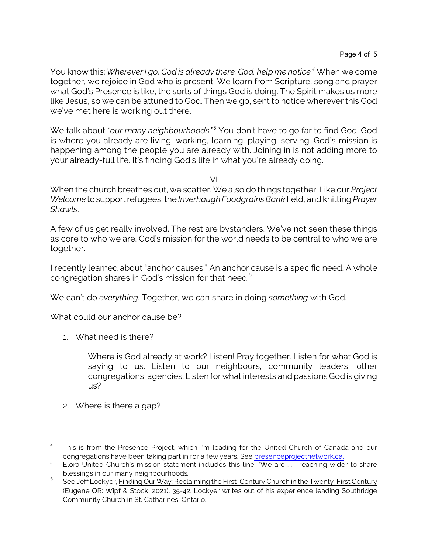You know this: *Wherever I go, God is already there. God, help me notice.<sup>4</sup>* When we come together, we rejoice in God who is present. We learn from Scripture, song and prayer what God's Presence is like, the sorts of things God is doing. The Spirit makes us more like Jesus, so we can be attuned to God. Then we go, sent to notice wherever this God we've met here is working out there.

We talk about *"our many neighbourhoods*."<sup>5</sup> You don't have to go far to find God. God is where you already are living, working, learning, playing, serving. God's mission is happening among the people you are already with. Joining in is not adding more to your already-full life. It's finding God's life in what you're already doing.

VI

When the church breathes out, we scatter. We also do things together. Like our *Project Welcome* to support refugees, the *Inverhaugh Foodgrains Bank* field, and knitting *Prayer Shawls*.

A few of us get really involved. The rest are bystanders. We've not seen these things as core to who we are. God's mission for the world needs to be central to who we are together.

I recently learned about "anchor causes." An anchor cause is a specific need. A whole congregation shares in God's mission for that need.<sup>6</sup>

We can't do *everything*. Together, we can share in doing *something* with God.

What could our anchor cause be?

1. What need is there?

Where is God already at work? Listen! Pray together. Listen for what God is saying to us. Listen to our neighbours, community leaders, other congregations, agencies. Listen for what interests and passions Godis giving us?

2. Where is there a gap?

<sup>4</sup> This is from the Presence Project, which I'm leading for the United Church of Canada and our congregations have been taking part in for a few years. See [presenceprojectnetwork.ca.](https://www.presenceprojectnetwork.ca/)

<sup>5</sup> Elora United Church's mission statement includes this line: "We are . . . reaching wider to share blessings in our many neighbourhoods."

<sup>6</sup> See Jeff Lockyer, Finding Our Way: Reclaiming the First-Century Church in the Twenty-First Century (Eugene OR: Wipf & Stock, 2021), 35-42. Lockyer writes out of his experience leading Southridge Community Church in St. Catharines, Ontario.